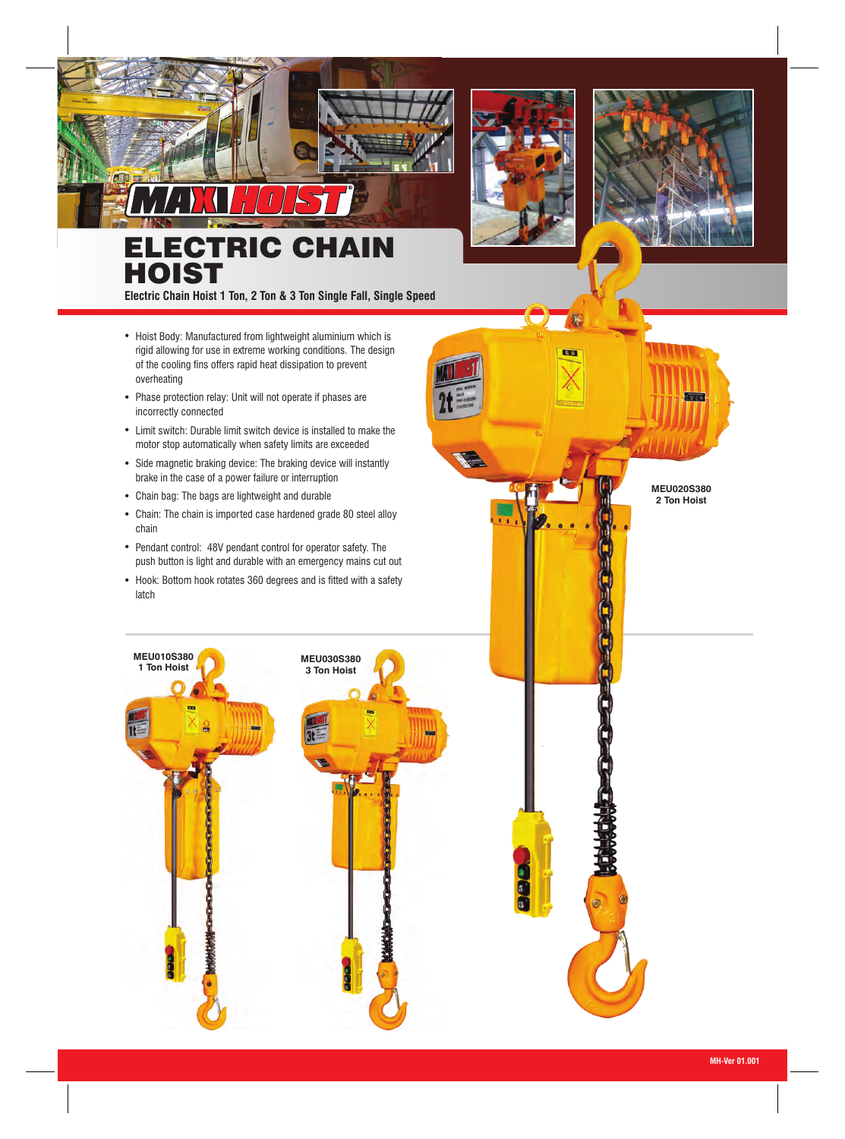

**Ratio** 



## **ECTRIC CHAIN HOIST**

**Electric Chain Hoist 1 Ton, 2 Ton & 3 Ton Single Fall, Single Speed**

HOIST

- Hoist Body: Manufactured from lightweight aluminium which is rigid allowing for use in extreme working conditions. The design of the cooling fins offers rapid heat dissipation to prevent overheating
- Phase protection relay: Unit will not operate if phases are incorrectly connected
- Limit switch: Durable limit switch device is installed to make the motor stop automatically when safety limits are exceeded
- Side magnetic braking device: The braking device will instantly brake in the case of a power failure or interruption
- Chain bag: The bags are lightweight and durable
- Chain: The chain is imported case hardened grade 80 steel alloy chain
- Pendant control: 48V pendant control for operator safety. The push button is light and durable with an emergency mains cut out
- Hook: Bottom hook rotates 360 degrees and is fitted with a safety latch



**MEU020S380 2 Ton Hoist**

**Track**